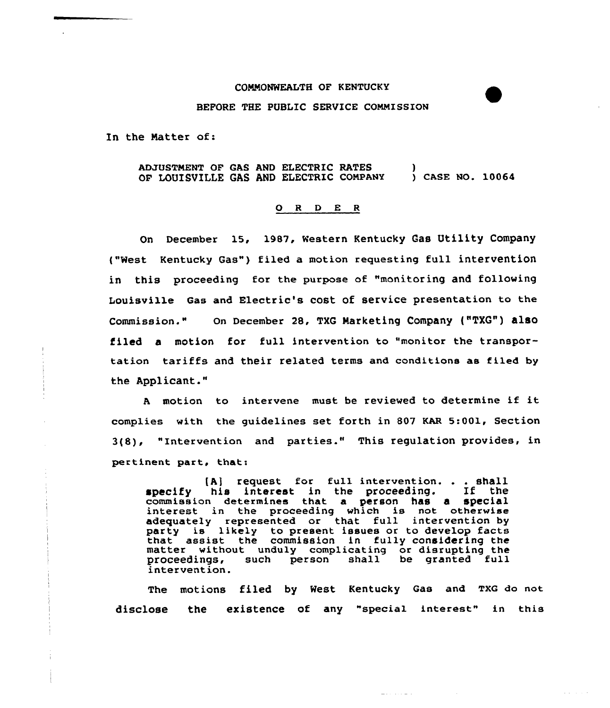## CONNONWEALTH OF KENTUCKY

## BEFORE THE PUBLIC SERVICE COMMISSION

In the Natter of:

ADZUSTMENT OF GAS AND ELECTRIC RATES OF LOUISVILLE GAS MD ELECTRIC COMPANY ) <sup>3</sup> CASE NO. 10064

## 0 <sup>R</sup> <sup>D</sup> E <sup>R</sup>

On December 15, 1987, Western Kentucky Gas Utility Company <"West Kentucky Gas") filed a motion requesting full intervention in this proceeding for the purpose of "monitoring and following Louisville Gas and Electric's cost of service presentation to the commission." on December 28, TMG Narketing company {"TxG") also filed a motion for full intervention to "monitor the transportation tariffs and their related terms and conditions as filed by the Applicant."

<sup>A</sup> motion to intervene must be reviewed to determine if it complies with the guidelines set forth in 807 KAR 5:001, Section 3{8), "Intervention and parties." This regulation provides, in pertinent part, thati

{A] request for full intervention. . . shall specify his interest in the proceeding. If the specify his interest in the proceeding. If the commission determines that a person has a special interest in the proceeding which is not otherwise adequately represented or that full intervention by party is likely to present issues or to develop facts that assist the commission in fully considering the matter without unduly complicating or disrupting the maccer writious undury comprisesing of disrupting the<br>proceedings, such person shall be granted full proceedings,<br>intervention.

The motions filed by west Kentucky Gas and TXG do not disclose the existence of any "special interest" in this

 $\pm 1.001$  and  $\pm 1.00$ 

 $\Delta$  ,  $\Delta$  ,  $\Delta$  ,  $\Delta$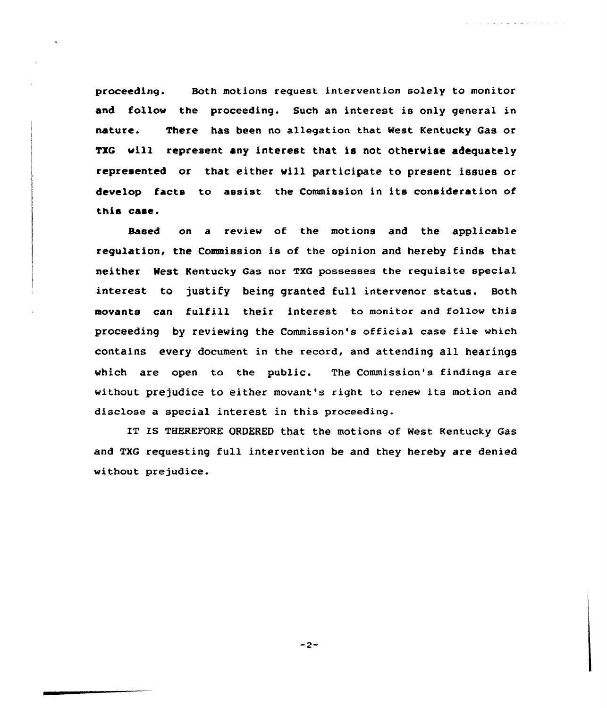proceeding. Both motions request intervention solely to monitor and follow the proceeding. Such an interest is only general in nature. There has been no allegation that West Kentucky Gas or TXG will represent any interest that is not otherwise adequately represented or that either will participate to present issues or develop facts to assist the Commission in its consideration of this case.

Based on a review of the motions and the applicable regulation, the Commission is of the opinion and hereby finds that neither West Kentucky Gas nor TXG possesses the requisite special interest to justify being granted full intervenor status. Both movants can fulfill their interest to monitor and follow this proceeding by reviewing the commission's official case file which contains every document in the record, and attending all hearings which are open to the public. The Commission's findings are without prejudice to either movant's right to renew its motion and disclose a special interest in this proceeding.

IT IS THEREFORE ORDERED that the motions of Nest Kentucky Gas and TXG requesting full intervention be and they hereby are denied without prejudice.

 $-2-$